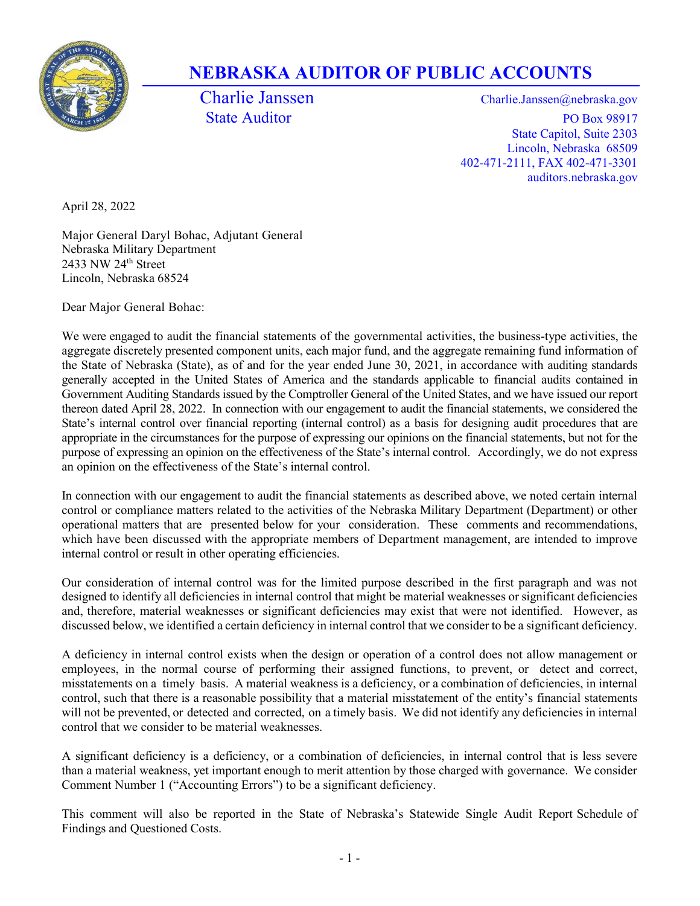

## NEBRASKA AUDITOR OF PUBLIC ACCOUNTS

Charlie Janssen Charlie.Janssen @nebraska.gov State Auditor PO Box 98917 State Capitol, Suite 2303 Lincoln, Nebraska 68509 402-471-2111, FAX 402-471-3301 auditors.nebraska.gov

April 28, 2022

Major General Daryl Bohac, Adjutant General Nebraska Military Department 2433 NW 24th Street Lincoln, Nebraska 68524

Dear Major General Bohac:

We were engaged to audit the financial statements of the governmental activities, the business-type activities, the aggregate discretely presented component units, each major fund, and the aggregate remaining fund information of the State of Nebraska (State), as of and for the year ended June 30, 2021, in accordance with auditing standards generally accepted in the United States of America and the standards applicable to financial audits contained in Government Auditing Standards issued by the Comptroller General of the United States, and we have issued our report thereon dated April 28, 2022. In connection with our engagement to audit the financial statements, we considered the State's internal control over financial reporting (internal control) as a basis for designing audit procedures that are appropriate in the circumstances for the purpose of expressing our opinions on the financial statements, but not for the purpose of expressing an opinion on the effectiveness of the State's internal control. Accordingly, we do not express an opinion on the effectiveness of the State's internal control.

In connection with our engagement to audit the financial statements as described above, we noted certain internal control or compliance matters related to the activities of the Nebraska Military Department (Department) or other operational matters that are presented below for your consideration. These comments and recommendations, which have been discussed with the appropriate members of Department management, are intended to improve internal control or result in other operating efficiencies.

Our consideration of internal control was for the limited purpose described in the first paragraph and was not designed to identify all deficiencies in internal control that might be material weaknesses or significant deficiencies and, therefore, material weaknesses or significant deficiencies may exist that were not identified. However, as discussed below, we identified a certain deficiency in internal control that we consider to be a significant deficiency.

A deficiency in internal control exists when the design or operation of a control does not allow management or employees, in the normal course of performing their assigned functions, to prevent, or detect and correct, misstatements on a timely basis. A material weakness is a deficiency, or a combination of deficiencies, in internal control, such that there is a reasonable possibility that a material misstatement of the entity's financial statements will not be prevented, or detected and corrected, on a timely basis. We did not identify any deficiencies in internal control that we consider to be material weaknesses.

A significant deficiency is a deficiency, or a combination of deficiencies, in internal control that is less severe than a material weakness, yet important enough to merit attention by those charged with governance. We consider Comment Number 1 ("Accounting Errors") to be a significant deficiency.

This comment will also be reported in the State of Nebraska's Statewide Single Audit Report Schedule of Findings and Questioned Costs.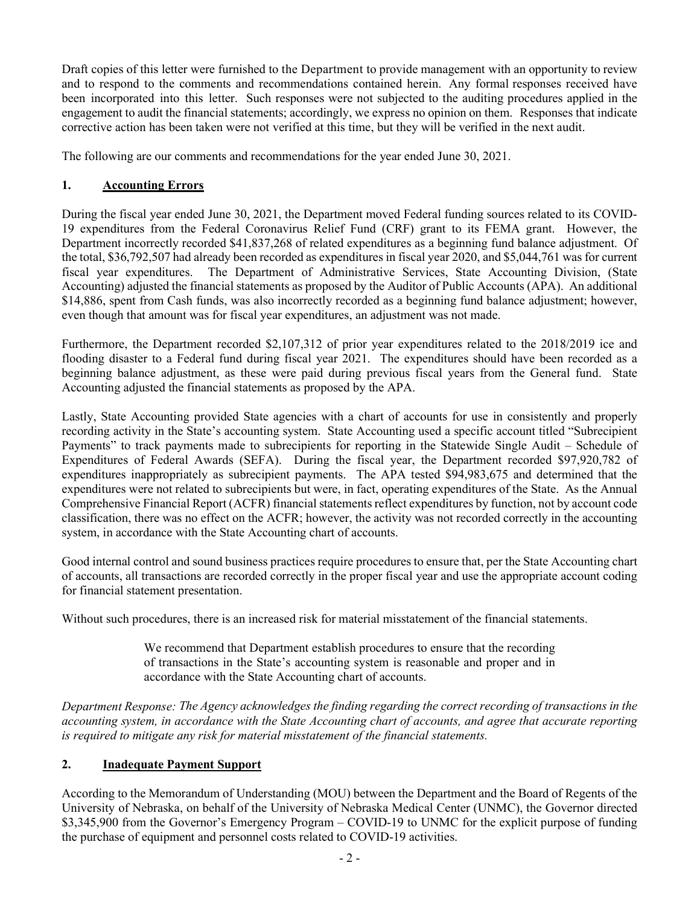Draft copies of this letter were furnished to the Department to provide management with an opportunity to review and to respond to the comments and recommendations contained herein. Any formal responses received have been incorporated into this letter. Such responses were not subjected to the auditing procedures applied in the engagement to audit the financial statements; accordingly, we express no opinion on them. Responses that indicate corrective action has been taken were not verified at this time, but they will be verified in the next audit.

The following are our comments and recommendations for the year ended June 30, 2021.

## 1. Accounting Errors

During the fiscal year ended June 30, 2021, the Department moved Federal funding sources related to its COVID-19 expenditures from the Federal Coronavirus Relief Fund (CRF) grant to its FEMA grant. However, the Department incorrectly recorded \$41,837,268 of related expenditures as a beginning fund balance adjustment. Of the total, \$36,792,507 had already been recorded as expenditures in fiscal year 2020, and \$5,044,761 was for current fiscal year expenditures. The Department of Administrative Services, State Accounting Division, (State Accounting) adjusted the financial statements as proposed by the Auditor of Public Accounts (APA). An additional \$14,886, spent from Cash funds, was also incorrectly recorded as a beginning fund balance adjustment; however, even though that amount was for fiscal year expenditures, an adjustment was not made.

Furthermore, the Department recorded \$2,107,312 of prior year expenditures related to the 2018/2019 ice and flooding disaster to a Federal fund during fiscal year 2021. The expenditures should have been recorded as a beginning balance adjustment, as these were paid during previous fiscal years from the General fund. State Accounting adjusted the financial statements as proposed by the APA.

Lastly, State Accounting provided State agencies with a chart of accounts for use in consistently and properly recording activity in the State's accounting system. State Accounting used a specific account titled "Subrecipient Payments" to track payments made to subrecipients for reporting in the Statewide Single Audit – Schedule of Expenditures of Federal Awards (SEFA). During the fiscal year, the Department recorded \$97,920,782 of expenditures inappropriately as subrecipient payments. The APA tested \$94,983,675 and determined that the expenditures were not related to subrecipients but were, in fact, operating expenditures of the State. As the Annual Comprehensive Financial Report (ACFR) financial statements reflect expenditures by function, not by account code classification, there was no effect on the ACFR; however, the activity was not recorded correctly in the accounting system, in accordance with the State Accounting chart of accounts.

Good internal control and sound business practices require procedures to ensure that, per the State Accounting chart of accounts, all transactions are recorded correctly in the proper fiscal year and use the appropriate account coding for financial statement presentation.

Without such procedures, there is an increased risk for material misstatement of the financial statements.

We recommend that Department establish procedures to ensure that the recording of transactions in the State's accounting system is reasonable and proper and in accordance with the State Accounting chart of accounts.

Department Response: The Agency acknowledges the finding regarding the correct recording of transactions in the accounting system, in accordance with the State Accounting chart of accounts, and agree that accurate reporting is required to mitigate any risk for material misstatement of the financial statements.

## 2. Inadequate Payment Support

According to the Memorandum of Understanding (MOU) between the Department and the Board of Regents of the University of Nebraska, on behalf of the University of Nebraska Medical Center (UNMC), the Governor directed \$3,345,900 from the Governor's Emergency Program – COVID-19 to UNMC for the explicit purpose of funding the purchase of equipment and personnel costs related to COVID-19 activities.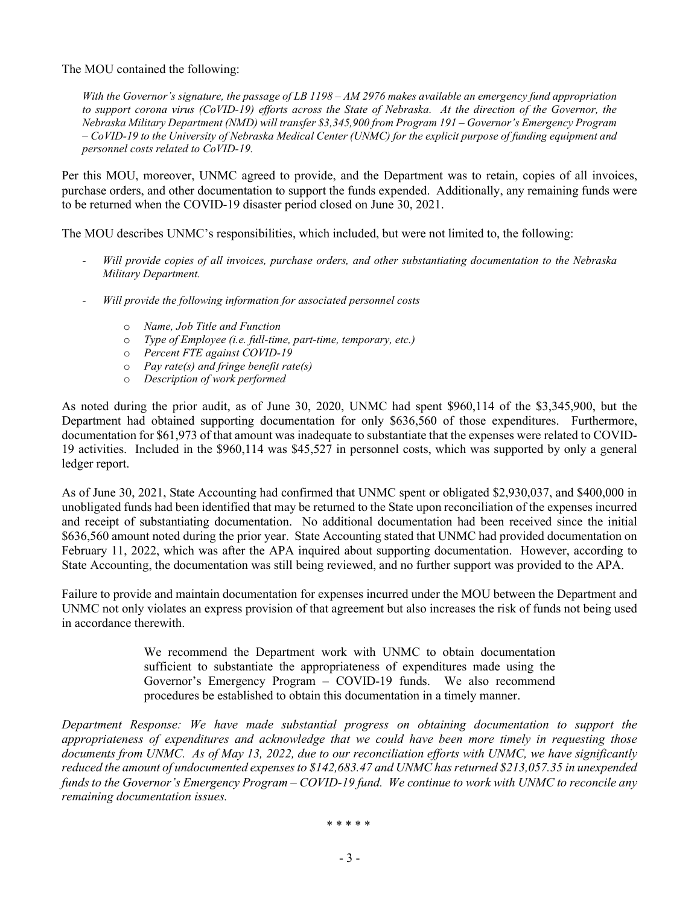The MOU contained the following:

With the Governor's signature, the passage of LB 1198 – AM 2976 makes available an emergency fund appropriation to support corona virus (CoVID-19) efforts across the State of Nebraska. At the direction of the Governor, the Nebraska Military Department (NMD) will transfer \$3,345,900 from Program 191 – Governor's Emergency Program – CoVID-19 to the University of Nebraska Medical Center (UNMC) for the explicit purpose of funding equipment and personnel costs related to CoVID-19.

Per this MOU, moreover, UNMC agreed to provide, and the Department was to retain, copies of all invoices, purchase orders, and other documentation to support the funds expended. Additionally, any remaining funds were to be returned when the COVID-19 disaster period closed on June 30, 2021.

The MOU describes UNMC's responsibilities, which included, but were not limited to, the following:

- Will provide copies of all invoices, purchase orders, and other substantiating documentation to the Nebraska Military Department.
- Will provide the following information for associated personnel costs
	- o Name, Job Title and Function
	- o Type of Employee (i.e. full-time, part-time, temporary, etc.)
	- o Percent FTE against COVID-19
	- $\circ$  Pay rate(s) and fringe benefit rate(s)
	- o Description of work performed

As noted during the prior audit, as of June 30, 2020, UNMC had spent \$960,114 of the \$3,345,900, but the Department had obtained supporting documentation for only \$636,560 of those expenditures. Furthermore, documentation for \$61,973 of that amount was inadequate to substantiate that the expenses were related to COVID-19 activities. Included in the \$960,114 was \$45,527 in personnel costs, which was supported by only a general ledger report.

As of June 30, 2021, State Accounting had confirmed that UNMC spent or obligated \$2,930,037, and \$400,000 in unobligated funds had been identified that may be returned to the State upon reconciliation of the expenses incurred and receipt of substantiating documentation. No additional documentation had been received since the initial \$636,560 amount noted during the prior year. State Accounting stated that UNMC had provided documentation on February 11, 2022, which was after the APA inquired about supporting documentation. However, according to State Accounting, the documentation was still being reviewed, and no further support was provided to the APA.

Failure to provide and maintain documentation for expenses incurred under the MOU between the Department and UNMC not only violates an express provision of that agreement but also increases the risk of funds not being used in accordance therewith.

> We recommend the Department work with UNMC to obtain documentation sufficient to substantiate the appropriateness of expenditures made using the Governor's Emergency Program – COVID-19 funds. We also recommend procedures be established to obtain this documentation in a timely manner.

Department Response: We have made substantial progress on obtaining documentation to support the appropriateness of expenditures and acknowledge that we could have been more timely in requesting those documents from UNMC. As of May 13, 2022, due to our reconciliation efforts with UNMC, we have significantly reduced the amount of undocumented expenses to \$142,683.47 and UNMC has returned \$213,057.35 in unexpended funds to the Governor's Emergency Program – COVID-19 fund. We continue to work with UNMC to reconcile any remaining documentation issues.

\* \* \* \* \*